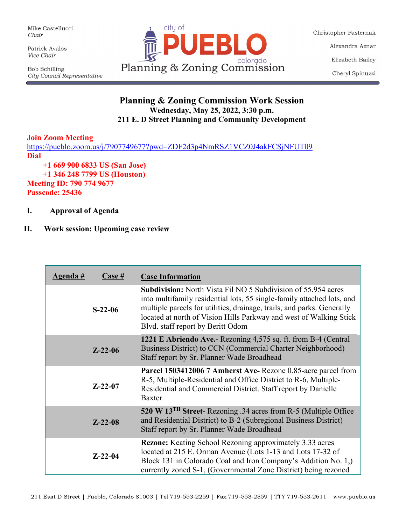Mike Castellucci Chair

Patrick Avalos Vice Chair

**Bob Schilling** City Council Representative



Christopher Pasternak Alexandra Aznar Elizabeth Bailey Cheryl Spinuzzi

## **Planning & Zoning Commission Work Session Wednesday, May 25, 2022, 3:30 p.m. 211 E. D Street Planning and Community Development**

## **Join Zoom Meeting**

<https://pueblo.zoom.us/j/7907749677?pwd=ZDF2d3p4NmRSZ1VCZ0J4akFCSjNFUT09> **Dial +1 669 900 6833 US (San Jose) +1 346 248 7799 US (Houston)**

**Meeting ID: 790 774 9677**

**Passcode: 25436**

**I. Approval of Agenda**

## **II. Work session: Upcoming case review**

| <u>Agenda #</u> | <u>Case #</u> | <b>Case Information</b>                                                                                                                                                                                                                                                                                                             |
|-----------------|---------------|-------------------------------------------------------------------------------------------------------------------------------------------------------------------------------------------------------------------------------------------------------------------------------------------------------------------------------------|
|                 | $S-22-06$     | <b>Subdivision:</b> North Vista Fil NO 5 Subdivision of 55.954 acres<br>into multifamily residential lots, 55 single-family attached lots, and<br>multiple parcels for utilities, drainage, trails, and parks. Generally<br>located at north of Vision Hills Parkway and west of Walking Stick<br>Blvd. staff report by Beritt Odom |
|                 | $Z - 22 - 06$ | 1221 E Abriendo Ave.- Rezoning 4,575 sq. ft. from B-4 (Central<br>Business District) to CCN (Commercial Charter Neighborhood)<br>Staff report by Sr. Planner Wade Broadhead                                                                                                                                                         |
|                 | $Z - 22 - 07$ | Parcel 1503412006 7 Amherst Ave-Rezone 0.85-acre parcel from<br>R-5, Multiple-Residential and Office District to R-6, Multiple-<br>Residential and Commercial District. Staff report by Danielle<br>Baxter.                                                                                                                         |
|                 | $Z - 22 - 08$ | 520 W 13 <sup>TH</sup> Street-Rezoning .34 acres from R-5 (Multiple Office<br>and Residential District) to B-2 (Subregional Business District)<br>Staff report by Sr. Planner Wade Broadhead                                                                                                                                        |
|                 | $Z - 22 - 04$ | <b>Rezone:</b> Keating School Rezoning approximately 3.33 acres<br>located at 215 E. Orman Avenue (Lots 1-13 and Lots 17-32 of<br>Block 131 in Colorado Coal and Iron Company's Addition No. 1,)<br>currently zoned S-1, (Governmental Zone District) being rezoned                                                                 |